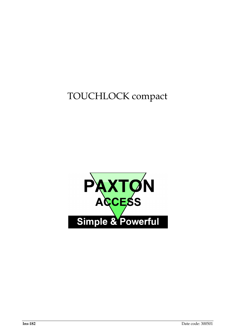TOUCHLOCK compact

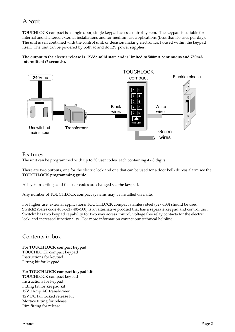# About

TOUCHLOCK compact is a single door, single keypad access control system. The keypad is suitable for internal and sheltered external installations and for medium use applications (Less than 50 uses per day). The unit is self contained with the control unit, or decision making electronics, housed within the keypad itself. The unit can be powered by both ac and dc 12V power supplies.

**The output to the electric release is 12Vdc solid state and is limited to 500mA continuous and 750mA intermittent (7 seconds).**



### Features

The unit can be programmed with up to 50 user codes, each containing 4 - 8 digits.

There are two outputs, one for the electric lock and one that can be used for a door bell/duress alarm see the **TOUCHLOCK programming guide**.

All system settings and the user codes are changed via the keypad.

Any number of TOUCHLOCK compact systems may be installed on a site.

For higher use, external applications TOUCHLOCK compact stainless steel (527-138) should be used. Switch2 (Sales code 405-321/405-500) is an alternative product that has a separate keypad and control unit. Switch2 has two keypad capability for two way access control, voltage free relay contacts for the electric lock, and increased functionality. For more information contact our technical helpline.

### Contents in box

**For TOUCHLOCK compact keypad** TOUCHLOCK compact keypad Instructions for keypad Fitting kit for keypad

### **For TOUCHLOCK compact keypad kit**

TOUCHLOCK compact keypad Instructions for keypad Fitting kit for keypad kit 12V 1Amp AC transformer 12V DC fail locked release kit Mortice fitting for release Rim fitting for release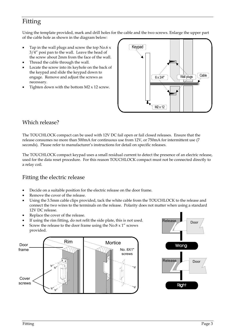# Fitting

Using the template provided, mark and drill holes for the cable and the two screws. Enlarge the upper part of the cable hole as shown in the diagram below:

- Tap in the wall plugs and screw the top  $No.6 x$ 3/4" posi pan to the wall. Leave the head of the screw about 2mm from the face of the wall.
- Thread the cable through the wall.
- Locate the screw into its keyhole on the back of the keypad and slide the keypad down to engage. Remove and adjust the screws as necessary.
- Tighten down with the bottom  $M2 \times 12$  screw.



### Which release?

The TOUCHLOCK compact can be used with 12V DC fail open or fail closed releases. Ensure that the release consumes no more than 500mA for continuous use from 12V, or 750mA for intermittent use (7 seconds). Please refer to manufacturer's instructions for detail on specific releases.

The TOUCHLOCK compact keypad uses a small residual current to detect the presence of an electric release, used for the data reset procedure. For this reason TOUCHLOCK compact must not be connected directly to a relay coil.

### Fitting the electric release

- Decide on a suitable position for the electric release on the door frame.
- Remove the cover of the release.
- Using the 3.5mm cable clips provided, tack the white cable from the TOUCHLOCK to the release and connect the two wires to the terminals on the release. Polarity does not matter when using a standard 12V DC release.
- Replace the cover of the release.
- If using the rim fitting, do not refit the side plate, this is not used.
- Screw the release to the door frame using the  $No.8 \times 1$ " screws provided.



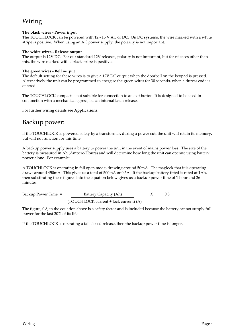# Wiring

### **The black wires - Power input**

The TOUCHLOCK can be powered with 12 - 15 V AC or DC. On DC systems, the wire marked with a white stripe is positive. When using an AC power supply, the polarity is not important.

### **The white wires - Release output**

The output is 12V DC. For our standard 12V releases, polarity is not important, but for releases other than this, the wire marked with a black stripe is positive**.**

### **The green wires - Bell output**

The default setting for these wires is to give a 12V DC output when the doorbell on the keypad is pressed. Alternatively the unit can be programmed to energise the green wires for 30 seconds, when a duress code is entered.

The TOUCHLOCK compact is not suitable for connection to an exit button. It is designed to be used in conjunction with a mechanical egress, i.e. an internal latch release.

For further wiring details see **Applications**.

# Backup power:

If the TOUCHLOCK is powered solely by a transformer, during a power cut, the unit will retain its memory, but will not function for this time.

A backup power supply uses a battery to power the unit in the event of mains power loss. The size of the battery is measured in Ah (Ampere-Hours) and will determine how long the unit can operate using battery power alone. For example:

A TOUCHLOCK is operating in fail open mode, drawing around 50mA. The maglock that it is operating draws around 450mA. This gives us a total of 500mA or 0.5A. If the backup battery fitted is rated at 1Ah, then substituting these figures into the equation below gives us a backup power time of 1 hour and 36 minutes.

Backup Power Time = Battery Capacity (Ah)  $X = 0.8$ (TOUCHLOCK current + lock current) (A)

The figure, 0.8, in the equation above is a safety factor and is included because the battery cannot supply full power for the last 20% of its life.

If the TOUCHLOCK is operating a fail closed release, then the backup power time is longer.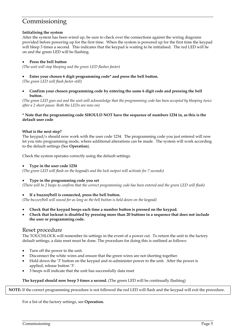## Commissioning

### **Initialising the system**

After the system has been wired up, be sure to check over the connections against the wiring diagrams provided before powering up for the first time. When the system is powered up for the first time the keypad will bleep 3 times a second. This indicates that the keypad is waiting to be initialised. The red LED will be on and the green LED will be flashing.

### • **Press the bell button**

*(The unit will stop bleeping and the green LED flashes faster)*

### • **Enter your chosen 6 digit programming code\* and press the bell button.**

*(The green LED will flash faster still)*

• **Confirm your chosen programming code by entering the same 6 digit code and pressing the bell button.**

*(The green LED goes out and the unit will acknowledge that the programming code has been accepted by bleeping twice after a 2 short pause. Both the LEDs are now on)*

#### **\* Note that the programming code SHOULD NOT have the sequence of numbers 1234 in, as this is the default user code**

### **What is the next step?**

The keypad/s should now work with the user code 1234. The programming code you just entered will now let you into programming mode, where additional alterations can be made. The system will work according to the default settings (See **Operation**).

Check the system operates correctly using the default settings.

#### • **Type in the user code 1234**

*(The green LED will flash on the keypad/s and the lock output will activate for 7 seconds)*

### • **Type in the programming code you set**

*(There will be 2 beeps to confirm that the correct programming code has been entered and the green LED will flash)*

### • **If a buzzer/bell is connected, press the bell button.**

*(The buzzer/bell will sound for as long as the bell button is held down on the keypad)*

- **Check that the keypad beeps each time a number button is pressed on the keypad.**
- **Check that lockout is disabled by pressing more than 20 buttons in a sequence that does not include the user or programming code.**

### Reset procedure

The TOUCHLOCK will remember its settings in the event of a power cut. To return the unit to the factory default settings, a data reset must be done. The procedure for doing this is outlined as follows:

- Turn off the power to the unit.
- Disconnect the white wires and ensure that the green wires are not shorting together.
- Hold down the '3' button on the keypad and re-administer power to the unit. After the power is applied, release button '3'.
- 3 beeps will indicate that the unit has successfully data reset

### **The keypad should now beep 3 times a second.** (The green LED will be continually flashing)

**NOTE:** If the correct programming procedure is not followed the red LED will flash and the keypad will exit the procedure.

For a list of the factory settings, see **Operation.**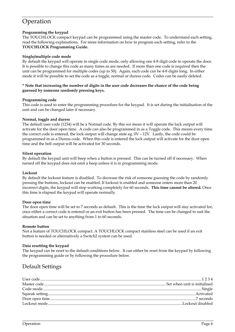# Operation

### **Programming the keypad**

The TOUCHLOCK compact keypad can be programmed using the master code. To understand each setting, read the following explanations. For more information on how to program each setting, refer to the **TOUCHLOCK Programming Guide.**

### **Single/multiple code mode**

By default the keypad will operate in single code mode, only allowing one 4-8 digit code to operate the door. It is possible to change this code as many times as are needed. If more than one code is required then the unit can be programmed for multiple codes (up to 50). Again, each code can be 4-8 digits long. In either mode it will be possible to set the code as a toggle, normal or duress code. Codes can be easily deleted.

#### **\* Note that increasing the number of digits in the user code decreases the chance of the code being guessed by someone randomly pressing keys.**

### **Programming code**

This code is used to enter the programming procedure for the keypad. It is set during the initialisation of the unit and can be changed later if necessary.

### **Normal, toggle and duress**

The default user code (1234) will be a Normal code. By this we mean it will operate the lock output will activate for the door open time. A code can also be programmed in as a Toggle code. This means every time the correct code is entered, the lock output will change state eg. 0V – 12V. Lastly, the code could be programmed in as a Duress code. When this code is entered the lock output will activate for the door open time and the bell output will be activated for 30 seconds.

### **Silent operation**

By default the keypad unit will beep when a button is pressed. This can be turned off if necessary. When turned off the keypad does not emit a beep unless it is in programming mode.

### **Lockout**

By default the lockout feature is disabled. To decrease the risk of someone guessing the code by randomly pressing the buttons, lockout can be enabled. If lockout is enabled and someone enters more than 20 incorrect digits, the keypad will stop working completely for 60 seconds. **This time cannot be altered.** Once this time is elapsed the keypad will operate normally.

### **Door open time**

The door open time will be set to 7 seconds as default. This is the time the lock output will stay activated for, once either a correct code is entered or an exit button has been pressed. The time can be changed to suit the situation and can be set to anything from 1 to 60 seconds.

### **Remote button**

Not a feature of TOUCHLOCK compact. A TOUCHLOCK compact stainless steel can be used if an exit button is needed or alternatively a Switch2 system can be used.

### **Data resetting the keypad**

The keypad can be reset to the default conditions below. It can either be reset from the keypad by following the programming guide or by following the procedure below.

### Default Settings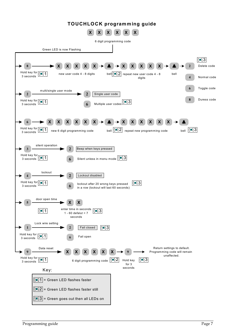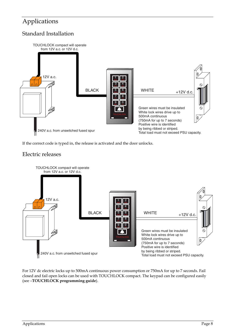# Applications

### Standard Installation



If the correct code is typed in, the release is activated and the door unlocks.

### Electric releases



For 12V dc electric locks up to 500mA continuous power consumption or 750mA for up to 7 seconds. Fail closed and fail open locks can be used with TOUCHLOCK compact. The keypad can be configured easily (see –**TOUCHLOCK programming guide**).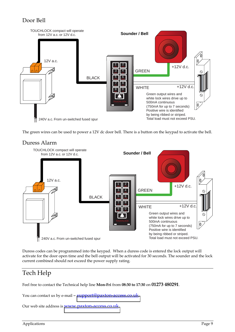### Door Bell



The green wires can be used to power a 12V dc door bell. There is a button on the keypad to activate the bell.



Duress codes can be programmed into the keypad. When a duress code is entered the lock output will activate for the door open time and the bell output will be activated for 30 seconds. The sounder and the lock current combined should not exceed the power supply rating.

# Tech Help

Feel free to contact the Technical help line **Mon-Fri** from **08:30 to 17:30** on **01273 480291**.

You can contact us by e-mail – [support@paxton-access.co.uk.](mailto:support@paxton-access.co.uk)

Our web site address is [www.paxton-access.co.uk.](http://www.paxton-access.co.uk/)

Duress Alarm